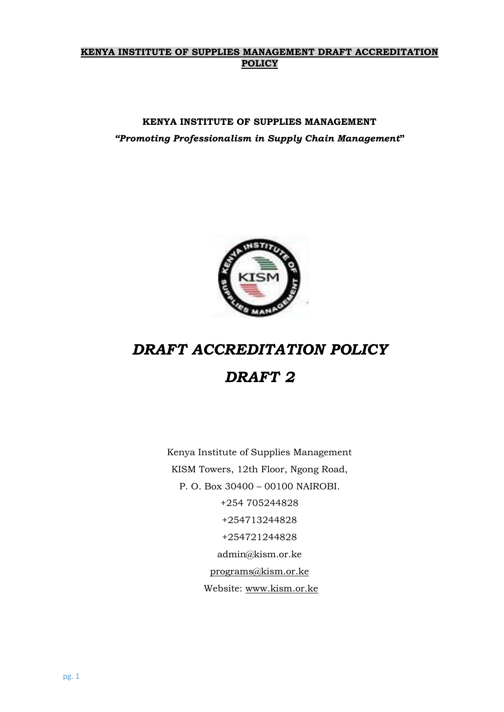### **KENYA INSTITUTE OF SUPPLIES MANAGEMENT DRAFT ACCREDITATION POLICY**

# **KENYA INSTITUTE OF SUPPLIES MANAGEMENT** *"Promoting Professionalism in Supply Chain Management***"**



# *DRAFT ACCREDITATION POLICY DRAFT 2*

Kenya Institute of Supplies Management KISM Towers, 12th Floor, Ngong Road, P. O. Box 30400 – 00100 NAIROBI. +254 705244828 +254713244828 +254721244828 admin@kism.or.ke [programs@kism.or.ke](mailto:programs@kism.or.ke) Website: [www.kism.or.ke](http://www.kism.or.ke/)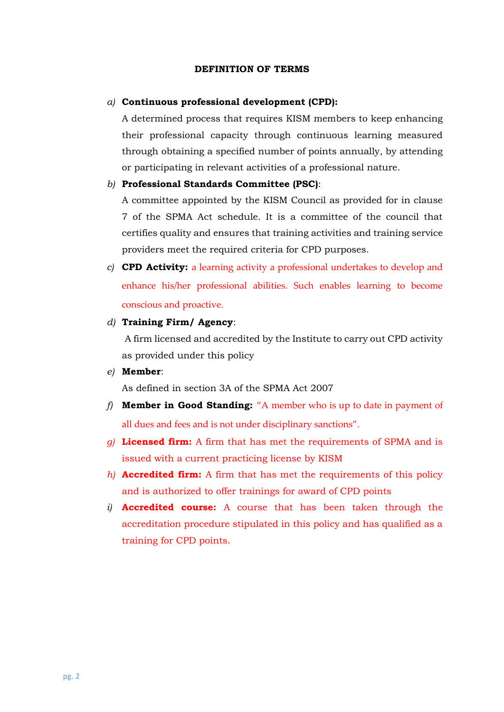#### **DEFINITION OF TERMS**

#### *a)* **Continuous professional development (CPD):**

A determined process that requires KISM members to keep enhancing their professional capacity through continuous learning measured through obtaining a specified number of points annually, by attending or participating in relevant activities of a professional nature.

#### *b)* **Professional Standards Committee (PSC)**:

A committee appointed by the KISM Council as provided for in clause 7 of the SPMA Act schedule. It is a committee of the council that certifies quality and ensures that training activities and training service providers meet the required criteria for CPD purposes.

*c)* **CPD Activity:** a learning activity a professional undertakes to develop and enhance his/her professional abilities. Such enables learning to become conscious and proactive.

#### *d)* **Training Firm/ Agency**:

A firm licensed and accredited by the Institute to carry out CPD activity as provided under this policy

#### *e)* **Member**:

As defined in section 3A of the SPMA Act 2007

- *f)* **Member in Good Standing:** "A member who is up to date in payment of all dues and fees and is not under disciplinary sanctions".
- *g)* **Licensed firm:** A firm that has met the requirements of SPMA and is issued with a current practicing license by KISM
- *h)* **Accredited firm:** A firm that has met the requirements of this policy and is authorized to offer trainings for award of CPD points
- *i)* **Accredited course:** A course that has been taken through the accreditation procedure stipulated in this policy and has qualified as a training for CPD points.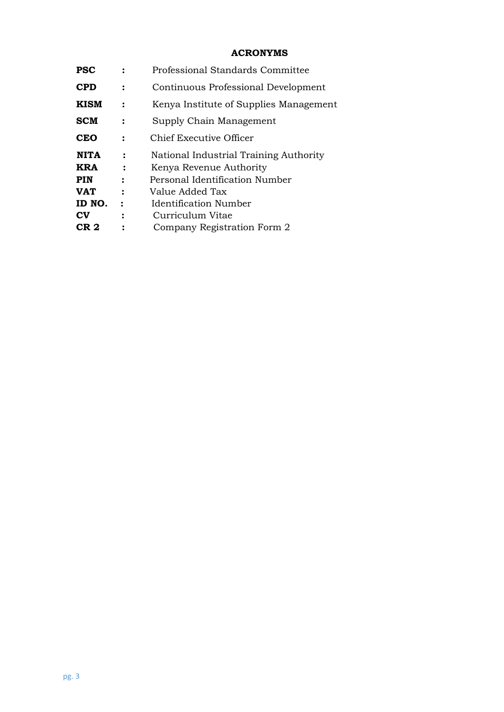# **ACRONYMS**

| <b>PSC</b>             |                | Professional Standards Committee       |
|------------------------|----------------|----------------------------------------|
| <b>CPD</b>             |                | Continuous Professional Development    |
| <b>KISM</b>            |                | Kenya Institute of Supplies Management |
| <b>SCM</b>             | :              | Supply Chain Management                |
| <b>CEO</b>             | $\ddot{\cdot}$ | Chief Executive Officer                |
| <b>NITA</b>            | $\ddot{\cdot}$ | National Industrial Training Authority |
| KRA                    |                | Kenya Revenue Authority                |
| PIN                    | $\ddot{\cdot}$ | Personal Identification Number         |
| <b>VAT</b>             | $\ddot{\cdot}$ | Value Added Tax                        |
| ID NO.                 | $\ddot{\cdot}$ | <b>Identification Number</b>           |
| $\mathbf{C}\mathbf{V}$ | $\ddot{\cdot}$ | Curriculum Vitae                       |
| CR 2                   |                | Company Registration Form 2            |
|                        |                |                                        |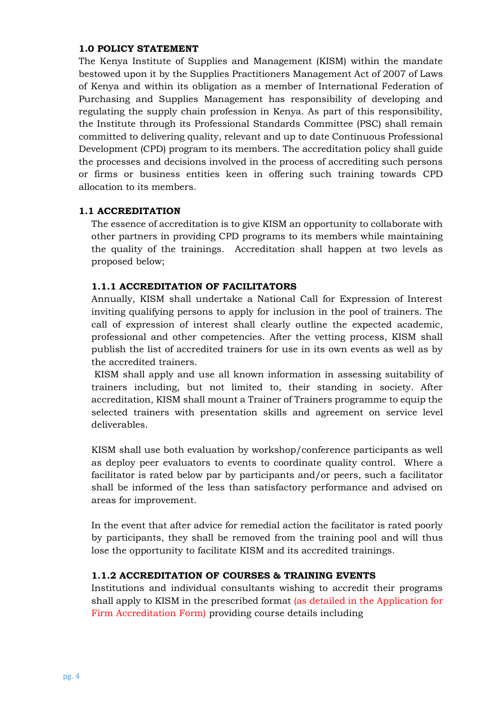#### **1.0 POLICY STATEMENT**

The Kenya Institute of Supplies and Management (KISM) within the mandate bestowed upon it by the Supplies Practitioners Management Act of 2007 of Laws of Kenya and within its obligation as a member of International Federation of Purchasing and Supplies Management has responsibility of developing and regulating the supply chain profession in Kenya. As part of this responsibility, the Institute through its Professional Standards Committee (PSC) shall remain committed to delivering quality, relevant and up to date Continuous Professional Development (CPD) program to its members. The accreditation policy shall guide the processes and decisions involved in the process of accrediting such persons or firms or business entities keen in offering such training towards CPD allocation to its members.

#### **1.1 ACCREDITATION**

The essence of accreditation is to give KISM an opportunity to collaborate with other partners in providing CPD programs to its members while maintaining the quality of the trainings. Accreditation shall happen at two levels as proposed below;

# **1.1.1 ACCREDITATION OF FACILITATORS**

Annually, KISM shall undertake a National Call for Expression of Interest inviting qualifying persons to apply for inclusion in the pool of trainers. The call of expression of interest shall clearly outline the expected academic, professional and other competencies. After the vetting process, KISM shall publish the list of accredited trainers for use in its own events as well as by the accredited trainers.

KISM shall apply and use all known information in assessing suitability of trainers including, but not limited to, their standing in society. After accreditation, KISM shall mount a Trainer of Trainers programme to equip the selected trainers with presentation skills and agreement on service level deliverables.

KISM shall use both evaluation by workshop/conference participants as well as deploy peer evaluators to events to coordinate quality control. Where a facilitator is rated below par by participants and/or peers, such a facilitator shall be informed of the less than satisfactory performance and advised on areas for improvement.

In the event that after advice for remedial action the facilitator is rated poorly by participants, they shall be removed from the training pool and will thus lose the opportunity to facilitate KISM and its accredited trainings.

# **1.1.2 ACCREDITATION OF COURSES & TRAINING EVENTS**

Institutions and individual consultants wishing to accredit their programs shall apply to KISM in the prescribed format (as detailed in the Application for Firm Accreditation Form) providing course details including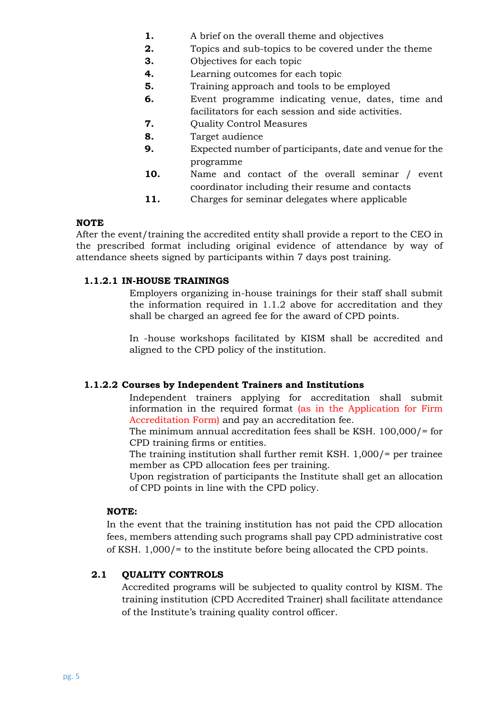- **1.** A brief on the overall theme and objectives
- **2.** Topics and sub-topics to be covered under the theme
	- **3.** Objectives for each topic
	- **4.** Learning outcomes for each topic
	- **5.** Training approach and tools to be employed
	- **6.** Event programme indicating venue, dates, time and facilitators for each session and side activities.
	- **7.** Ouality Control Measures
	- **8.** Target audience
	- **9.** Expected number of participants, date and venue for the programme
	- **10.** Name and contact of the overall seminar / event coordinator including their resume and contacts
	- **11.** Charges for seminar delegates where applicable

#### **NOTE**

After the event/training the accredited entity shall provide a report to the CEO in the prescribed format including original evidence of attendance by way of attendance sheets signed by participants within 7 days post training.

#### **1.1.2.1 IN-HOUSE TRAININGS**

Employers organizing in-house trainings for their staff shall submit the information required in 1.1.2 above for accreditation and they shall be charged an agreed fee for the award of CPD points.

In -house workshops facilitated by KISM shall be accredited and aligned to the CPD policy of the institution.

#### **1.1.2.2 Courses by Independent Trainers and Institutions**

Independent trainers applying for accreditation shall submit information in the required format (as in the Application for Firm Accreditation Form) and pay an accreditation fee.

The minimum annual accreditation fees shall be KSH. 100,000/= for CPD training firms or entities.

The training institution shall further remit KSH. 1,000/= per trainee member as CPD allocation fees per training.

Upon registration of participants the Institute shall get an allocation of CPD points in line with the CPD policy.

#### **NOTE:**

In the event that the training institution has not paid the CPD allocation fees, members attending such programs shall pay CPD administrative cost of KSH. 1,000/= to the institute before being allocated the CPD points.

#### **2.1 QUALITY CONTROLS**

Accredited programs will be subjected to quality control by KISM. The training institution (CPD Accredited Trainer) shall facilitate attendance of the Institute's training quality control officer.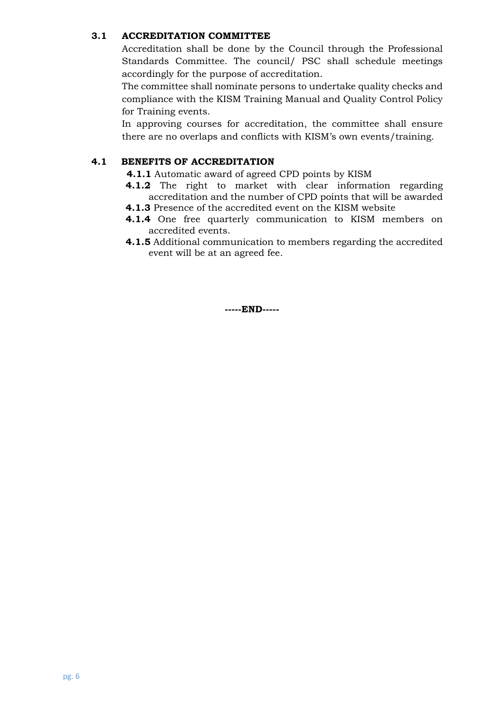#### **3.1 ACCREDITATION COMMITTEE**

Accreditation shall be done by the Council through the Professional Standards Committee. The council/ PSC shall schedule meetings accordingly for the purpose of accreditation.

The committee shall nominate persons to undertake quality checks and compliance with the KISM Training Manual and Quality Control Policy for Training events.

In approving courses for accreditation, the committee shall ensure there are no overlaps and conflicts with KISM's own events/training.

# **4.1 BENEFITS OF ACCREDITATION**

- **4.1.1** Automatic award of agreed CPD points by KISM
- **4.1.2** The right to market with clear information regarding accreditation and the number of CPD points that will be awarded
- **4.1.3** Presence of the accredited event on the KISM website
- **4.1.4** One free quarterly communication to KISM members on accredited events.
- **4.1.5** Additional communication to members regarding the accredited event will be at an agreed fee.

**-----END-----**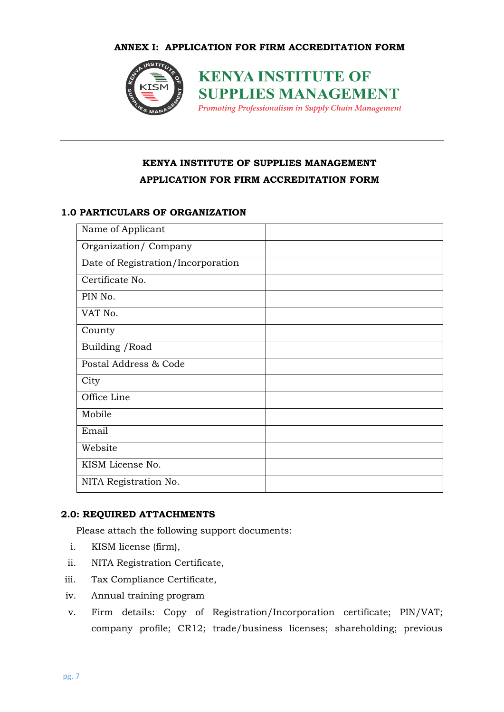

**KENYA INSTITUTE OF SUPPLIES MANAGEMENT** Promoting Professionalism in Supply Chain Management

# **KENYA INSTITUTE OF SUPPLIES MANAGEMENT APPLICATION FOR FIRM ACCREDITATION FORM**

#### **1.0 PARTICULARS OF ORGANIZATION**

| Name of Applicant                  |  |
|------------------------------------|--|
| Organization/Company               |  |
| Date of Registration/Incorporation |  |
| Certificate No.                    |  |
| PIN No.                            |  |
| VAT No.                            |  |
| County                             |  |
| Building / Road                    |  |
| Postal Address & Code              |  |
| City                               |  |
| Office Line                        |  |
| Mobile                             |  |
| Email                              |  |
| Website                            |  |
| KISM License No.                   |  |
| NITA Registration No.              |  |

#### **2.0: REQUIRED ATTACHMENTS**

Please attach the following support documents:

- i. KISM license (firm),
- ii. NITA Registration Certificate,
- iii. Tax Compliance Certificate,
- iv. Annual training program
- v. Firm details: Copy of Registration/Incorporation certificate; PIN/VAT; company profile; CR12; trade/business licenses; shareholding; previous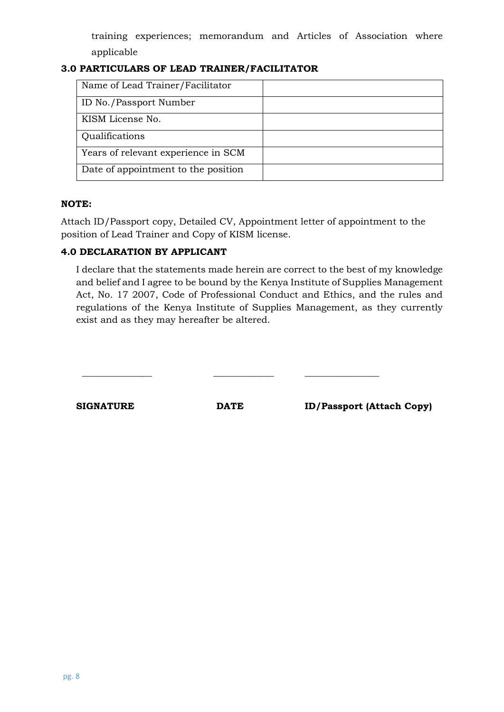training experiences; memorandum and Articles of Association where applicable

# **3.0 PARTICULARS OF LEAD TRAINER/FACILITATOR**

| Name of Lead Trainer/Facilitator    |  |
|-------------------------------------|--|
| ID No./Passport Number              |  |
| KISM License No.                    |  |
| Qualifications                      |  |
| Years of relevant experience in SCM |  |
| Date of appointment to the position |  |

#### **NOTE:**

Attach ID/Passport copy, Detailed CV, Appointment letter of appointment to the position of Lead Trainer and Copy of KISM license.

# **4.0 DECLARATION BY APPLICANT**

I declare that the statements made herein are correct to the best of my knowledge and belief and I agree to be bound by the Kenya Institute of Supplies Management Act, No. 17 2007, Code of Professional Conduct and Ethics, and the rules and regulations of the Kenya Institute of Supplies Management, as they currently exist and as they may hereafter be altered.

| <b>SIGNATURE</b> | <b>DATE</b> | <b>ID/Passport (Attach Copy)</b> |
|------------------|-------------|----------------------------------|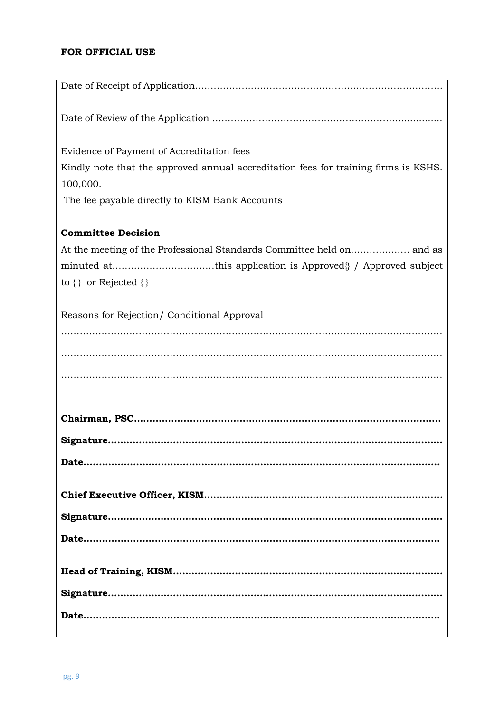# **FOR OFFICIAL USE**

| Evidence of Payment of Accreditation fees                                           |
|-------------------------------------------------------------------------------------|
| Kindly note that the approved annual accreditation fees for training firms is KSHS. |
| 100,000.                                                                            |
| The fee payable directly to KISM Bank Accounts                                      |
| <b>Committee Decision</b>                                                           |
|                                                                                     |
| minuted atthis application is Approved 1 Approved subject                           |
| to $\{\}$ or Rejected $\{\}$                                                        |
| Reasons for Rejection/ Conditional Approval                                         |
|                                                                                     |
|                                                                                     |
|                                                                                     |
|                                                                                     |
|                                                                                     |
|                                                                                     |
|                                                                                     |
|                                                                                     |
|                                                                                     |
|                                                                                     |
|                                                                                     |
|                                                                                     |
|                                                                                     |
|                                                                                     |
|                                                                                     |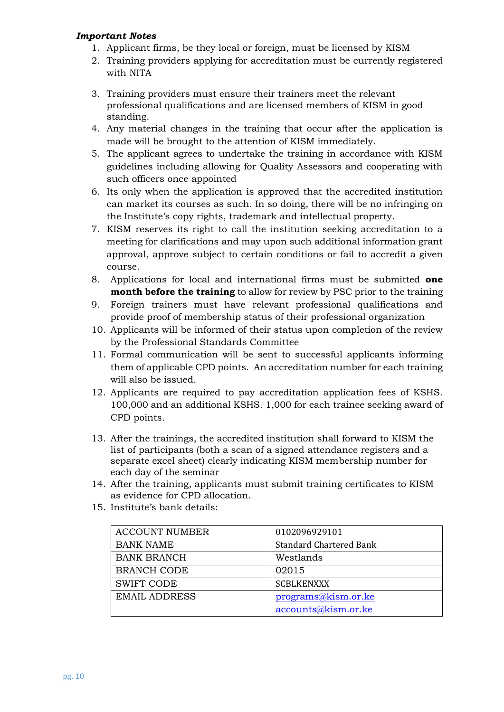#### *Important Notes*

- 1. Applicant firms, be they local or foreign, must be licensed by KISM
- 2. Training providers applying for accreditation must be currently registered with NITA
- 3. Training providers must ensure their trainers meet the relevant professional qualifications and are licensed members of KISM in good standing.
- 4. Any material changes in the training that occur after the application is made will be brought to the attention of KISM immediately.
- 5. The applicant agrees to undertake the training in accordance with KISM guidelines including allowing for Quality Assessors and cooperating with such officers once appointed
- 6. Its only when the application is approved that the accredited institution can market its courses as such. In so doing, there will be no infringing on the Institute's copy rights, trademark and intellectual property.
- 7. KISM reserves its right to call the institution seeking accreditation to a meeting for clarifications and may upon such additional information grant approval, approve subject to certain conditions or fail to accredit a given course.
- 8. Applications for local and international firms must be submitted **one month before the training** to allow for review by PSC prior to the training
- 9. Foreign trainers must have relevant professional qualifications and provide proof of membership status of their professional organization
- 10. Applicants will be informed of their status upon completion of the review by the Professional Standards Committee
- 11. Formal communication will be sent to successful applicants informing them of applicable CPD points. An accreditation number for each training will also be issued.
- 12. Applicants are required to pay accreditation application fees of KSHS. 100,000 and an additional KSHS. 1,000 for each trainee seeking award of CPD points.
- 13. After the trainings, the accredited institution shall forward to KISM the list of participants (both a scan of a signed attendance registers and a separate excel sheet) clearly indicating KISM membership number for each day of the seminar
- 14. After the training, applicants must submit training certificates to KISM as evidence for CPD allocation.
- 15. Institute's bank details:

| 0102096929101           |
|-------------------------|
|                         |
| Standard Chartered Bank |
| Westlands               |
|                         |
| 02015                   |
|                         |
| <b>SCBLKENXXX</b>       |
|                         |
| programs@kism.or.ke     |
|                         |
| accounts@kism.or.ke     |
|                         |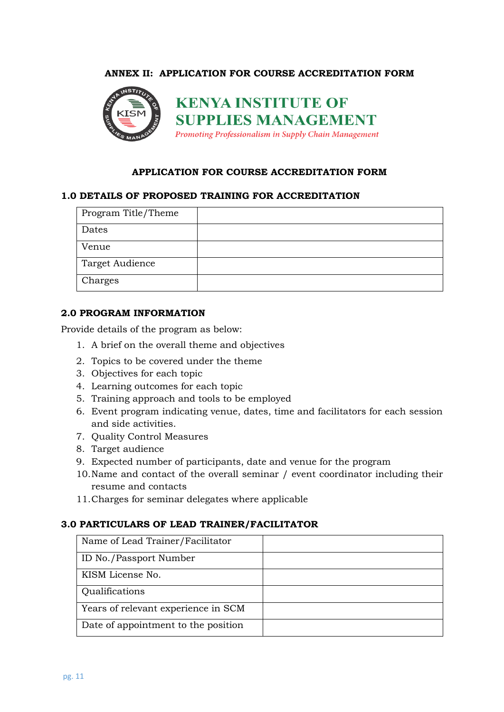#### **ANNEX II: APPLICATION FOR COURSE ACCREDITATION FORM**



#### **APPLICATION FOR COURSE ACCREDITATION FORM**

#### **1.0 DETAILS OF PROPOSED TRAINING FOR ACCREDITATION**

| Program Title/Theme |  |
|---------------------|--|
| Dates               |  |
| Venue               |  |
| Target Audience     |  |
| Charges             |  |

#### **2.0 PROGRAM INFORMATION**

Provide details of the program as below:

- 1. A brief on the overall theme and objectives
- 2. Topics to be covered under the theme
- 3. Objectives for each topic
- 4. Learning outcomes for each topic
- 5. Training approach and tools to be employed
- 6. Event program indicating venue, dates, time and facilitators for each session and side activities.
- 7. Quality Control Measures
- 8. Target audience
- 9. Expected number of participants, date and venue for the program
- 10.Name and contact of the overall seminar / event coordinator including their resume and contacts
- 11.Charges for seminar delegates where applicable

#### **3.0 PARTICULARS OF LEAD TRAINER/FACILITATOR**

| Name of Lead Trainer/Facilitator    |  |
|-------------------------------------|--|
| ID No./Passport Number              |  |
| KISM License No.                    |  |
| Qualifications                      |  |
| Years of relevant experience in SCM |  |
| Date of appointment to the position |  |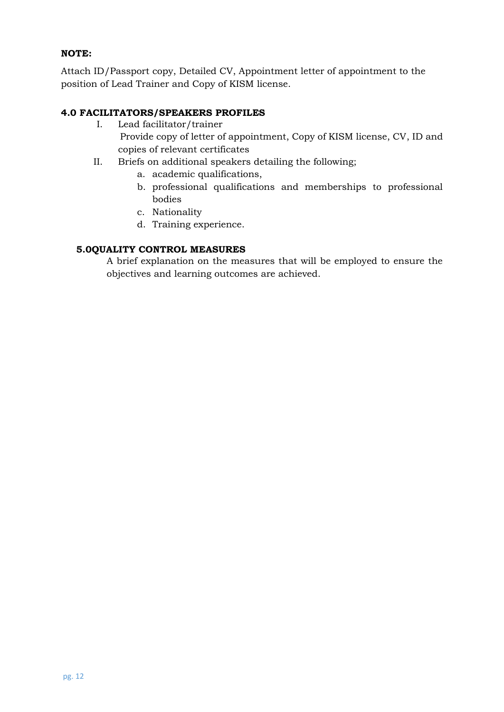# **NOTE:**

Attach ID/Passport copy, Detailed CV, Appointment letter of appointment to the position of Lead Trainer and Copy of KISM license.

# **4.0 FACILITATORS/SPEAKERS PROFILES**

- I. Lead facilitator/trainer Provide copy of letter of appointment, Copy of KISM license, CV, ID and copies of relevant certificates
- II. Briefs on additional speakers detailing the following;
	- a. academic qualifications,
	- b. professional qualifications and memberships to professional bodies
	- c. Nationality
	- d. Training experience.

# **5.0QUALITY CONTROL MEASURES**

A brief explanation on the measures that will be employed to ensure the objectives and learning outcomes are achieved.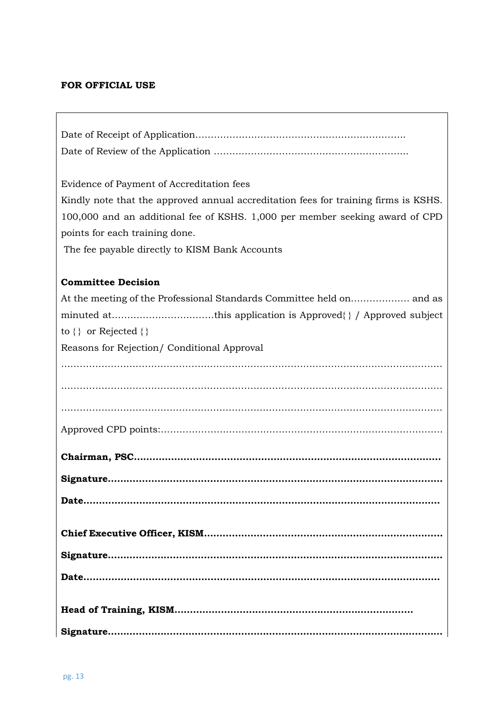# **FOR OFFICIAL USE**

| Evidence of Payment of Accreditation fees                                           |
|-------------------------------------------------------------------------------------|
| Kindly note that the approved annual accreditation fees for training firms is KSHS. |
| 100,000 and an additional fee of KSHS. 1,000 per member seeking award of CPD        |
| points for each training done.                                                      |
| The fee payable directly to KISM Bank Accounts                                      |
|                                                                                     |
| <b>Committee Decision</b>                                                           |
|                                                                                     |
| minuted atthis application is Approved{ } / Approved subject                        |
| to $\{\}$ or Rejected $\{\}$                                                        |
| Reasons for Rejection/ Conditional Approval                                         |
|                                                                                     |
|                                                                                     |
|                                                                                     |
|                                                                                     |
|                                                                                     |
|                                                                                     |
|                                                                                     |
|                                                                                     |
|                                                                                     |
|                                                                                     |
|                                                                                     |
|                                                                                     |
|                                                                                     |
|                                                                                     |
|                                                                                     |
|                                                                                     |
|                                                                                     |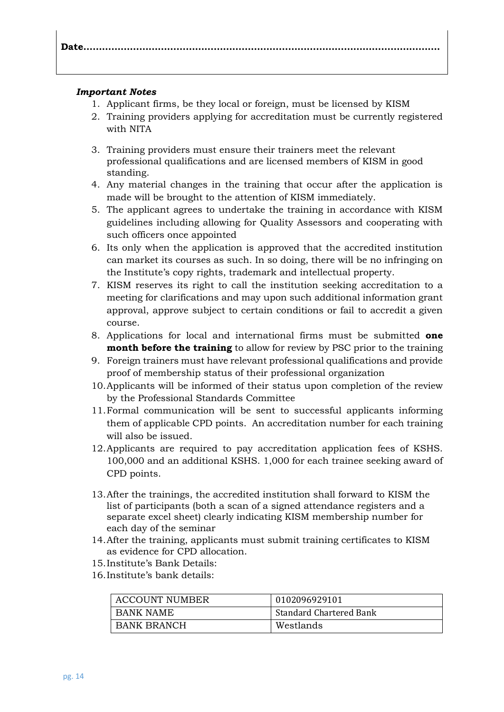# **Date…………………………………………………………………………………………………….**

#### *Important Notes*

- 1. Applicant firms, be they local or foreign, must be licensed by KISM
- 2. Training providers applying for accreditation must be currently registered with NITA
- 3. Training providers must ensure their trainers meet the relevant professional qualifications and are licensed members of KISM in good standing.
- 4. Any material changes in the training that occur after the application is made will be brought to the attention of KISM immediately.
- 5. The applicant agrees to undertake the training in accordance with KISM guidelines including allowing for Quality Assessors and cooperating with such officers once appointed
- 6. Its only when the application is approved that the accredited institution can market its courses as such. In so doing, there will be no infringing on the Institute's copy rights, trademark and intellectual property.
- 7. KISM reserves its right to call the institution seeking accreditation to a meeting for clarifications and may upon such additional information grant approval, approve subject to certain conditions or fail to accredit a given course.
- 8. Applications for local and international firms must be submitted **one month before the training** to allow for review by PSC prior to the training
- 9. Foreign trainers must have relevant professional qualifications and provide proof of membership status of their professional organization
- 10.Applicants will be informed of their status upon completion of the review by the Professional Standards Committee
- 11.Formal communication will be sent to successful applicants informing them of applicable CPD points. An accreditation number for each training will also be issued.
- 12.Applicants are required to pay accreditation application fees of KSHS. 100,000 and an additional KSHS. 1,000 for each trainee seeking award of CPD points.
- 13.After the trainings, the accredited institution shall forward to KISM the list of participants (both a scan of a signed attendance registers and a separate excel sheet) clearly indicating KISM membership number for each day of the seminar
- 14.After the training, applicants must submit training certificates to KISM as evidence for CPD allocation.
- 15.Institute's Bank Details:
- 16.Institute's bank details:

| <b>ACCOUNT NUMBER</b> | 0102096929101           |
|-----------------------|-------------------------|
| BANK NAME             | Standard Chartered Bank |
| <b>BANK BRANCH</b>    | Westlands               |